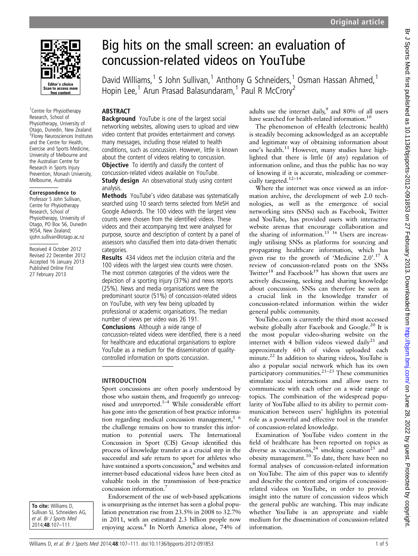

<sup>1</sup> Centre for Physiotherapy Research, School of Physiotherapy, University of Otago, Dunedin, New Zealand 2 Florey Neurosciences Institutes and the Centre for Health, Exercise and Sports Medicine, University of Melbourne and the Australian Centre for Research in Sports Injury Prevention, Monash University, Melbourne, Australia

#### Correspondence to

Professor S John Sullivan, Centre for Physiotherapy Research, School of Physiotherapy, University of Otago, PO Box 56, Dunedin 9054, New Zealand; sjohn.sullivan@otago.ac.nz

Received 4 October 2012 Revised 22 December 2012 Accepted 16 January 2013 Published Online First 27 February 2013

# Big hits on the small screen: an evaluation of concussion-related videos on YouTube

David Williams,<sup>1</sup> S John Sullivan,<sup>1</sup> Anthony G Schneiders,<sup>1</sup> Osman Hassan Ahmed,<sup>1</sup> Hopin Lee,<sup>1</sup> Arun Prasad Balasundaram,<sup>1</sup> Paul R McCrory<sup>2</sup>

## **ABSTRACT**

**Background** YouTube is one of the largest social networking websites, allowing users to upload and view video content that provides entertainment and conveys many messages, including those related to health conditions, such as concussion. However, little is known about the content of videos relating to concussion. **Objective** To identify and classify the content of concussion-related videos available on YouTube. **Study design** An observational study using content analysis.

Methods YouTube's video database was systematically searched using 10 search terms selected from MeSH and Google Adwords. The 100 videos with the largest view counts were chosen from the identified videos. These videos and their accompanying text were analysed for purpose, source and description of content by a panel of assessors who classified them into data-driven thematic categories.

Results 434 videos met the inclusion criteria and the 100 videos with the largest view counts were chosen. The most common categories of the videos were the depiction of a sporting injury (37%) and news reports (25%). News and media organisations were the predominant source (51%) of concussion-related videos on YouTube, with very few being uploaded by professional or academic organisations. The median number of views per video was 26 191.

Conclusions Although a wide range of concussion-related videos were identified, there is a need for healthcare and educational organisations to explore YouTube as a medium for the dissemination of qualitycontrolled information on sports concussion.

#### INTRODUCTION

Sport concussions are often poorly understood by those who sustain them, and frequently go unrecognised and unreported.<sup>1-4</sup> While considerable effort has gone into the generation of best practice information regarding medical concussion management, $5\,6$ the challenge remains on how to transfer this information to potential users. The International Concussion in Sport (CIS) Group identified this process of knowledge transfer as a crucial step in the successful and safe return to sport for athletes who have sustained a sports concussion,<sup>6</sup> and websites and internet-based educational videos have been cited as valuable tools in the transmission of best-practice concussion information.7

To cite: Williams D, Sullivan SJ, Schneiders AG, et al. Br J Sports Med 2014;48:107–111.

Endorsement of the use of web-based applications is unsurprising as the internet has seen a global population penetration rise from 23.5% in 2008 to 32.7% in 2011, with an estimated 2.3 billion people now enjoying access.8 In North America alone, 74% of adults use the internet daily, $9$  and 80% of all users have searched for health-related information.<sup>10</sup>

The phenomenon of eHealth (electronic health) is steadily becoming acknowledged as an acceptable and legitimate way of obtaining information about one's health.<sup>11</sup> However, many studies have highlighted that there is little (if any) regulation of information online, and thus the public has no way of knowing if it is accurate, misleading or commercially targeted.12–<sup>14</sup>

Where the internet was once viewed as an information archive, the development of web 2.0 technologies, as well as the emergence of social networking sites (SNSs) such as Facebook, Twitter and YouTube, has provided users with interactive website arenas that encourage collaboration and the sharing of information.<sup>15 16</sup> Users are increasingly utilising SNSs as platforms for sourcing and propagating healthcare information, which has given rise to the growth of 'Medicine 2.0'. <sup>17</sup> A review of concussion-related posts on the SNSs Twitter<sup>18</sup> and Facebook<sup>19</sup> has shown that users are actively discussing, seeking and sharing knowledge about concussion. SNSs can therefore be seen as a crucial link in the knowledge transfer of concussion-related information within the wider general public community.

YouTube.com is currently the third most accessed website globally after Facebook and Google.<sup>20</sup> It is the most popular video-sharing website on the internet with 4 billion videos viewed daily<sup>21</sup> and approximately 60 h of videos uploaded each minute.<sup>22</sup> In addition to sharing videos, YouTube is also a popular social network which has its own participatory communities.<sup>21–23</sup> These communities stimulate social interactions and allow users to communicate with each other on a wide range of topics. The combination of the widespread popularity of YouTube allied to its ability to permit communication between users' highlights its potential role as a powerful and effective tool in the transfer of concussion-related knowledge.

Examination of YouTube video content in the field of healthcare has been reported on topics as diverse as vaccinations,<sup>24</sup> smoking cessation<sup>25</sup> and obesity management.<sup>10</sup> To date, there have been no formal analyses of concussion-related information on YouTube. The aim of this paper was to identify and describe the content and origins of concussionrelated videos on YouTube, in order to provide insight into the nature of concussion videos which the general public are watching. This may indicate whether YouTube is an appropriate and viable medium for the dissemination of concussion-related information.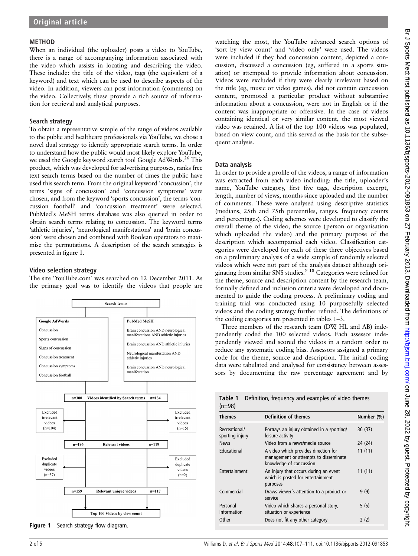#### METHOD

When an individual (the uploader) posts a video to YouTube, there is a range of accompanying information associated with the video which assists in locating and describing the video. These include: the title of the video, tags (the equivalent of a keyword) and text which can be used to describe aspects of the video. In addition, viewers can post information (comments) on the video. Collectively, these provide a rich source of information for retrieval and analytical purposes.

## Search strategy

To obtain a representative sample of the range of videos available to the public and healthcare professionals via YouTube, we chose a novel dual strategy to identify appropriate search terms. In order to understand how the public would most likely explore YouTube, we used the Google keyword search tool Google AdWords.<sup>26</sup> This product, which was developed for advertising purposes, ranks free text search terms based on the number of times the public have used this search term. From the original keyword 'concussion', the terms 'signs of concussion' and 'concussion symptoms' were chosen, and from the keyword 'sports concussion', the terms 'concussion football' and 'concussion treatment' were selected. PubMed's MeSH terms database was also queried in order to obtain search terms relating to concussion. The keyword terms 'athletic injuries', 'neurological manifestations' and 'brain concussion' were chosen and combined with Boolean operators to maximise the permutations. A description of the search strategies is presented in figure 1.

## Video selection strategy

The site 'YouTube.com' was searched on 12 December 2011. As the primary goal was to identify the videos that people are



Figure 1 Search strategy flow diagram.

watching the most, the YouTube advanced search options of 'sort by view count' and 'video only' were used. The videos were included if they had concussion content, depicted a concussion, discussed a concussion (eg, suffered in a sports situation) or attempted to provide information about concussion. Videos were excluded if they were clearly irrelevant based on the title (eg, music or video games), did not contain concussion content, promoted a particular product without substantive information about a concussion, were not in English or if the content was inappropriate or offensive. In the case of videos containing identical or very similar content, the most viewed video was retained. A list of the top 100 videos was populated, based on view count, and this served as the basis for the subsequent analysis.

#### Data analysis

In order to provide a profile of the videos, a range of information was extracted from each video including: the title, uploader's name, YouTube category, first five tags, description excerpt, length, number of views, months since uploaded and the number of comments. These were analysed using descriptive statistics (medians, 25th and 75th percentiles, ranges, frequency counts and percentages). Coding schemes were developed to classify the overall theme of the video, the source (person or organisation which uploaded the video) and the primary purpose of the description which accompanied each video. Classification categories were developed for each of these three objectives based on a preliminary analysis of a wide sample of randomly selected videos which were not part of the analysis dataset although originating from similar SNS studies.<sup>9 18</sup> Categories were refined for the theme, source and description content by the research team, formally defined and inclusion criteria were developed and documented to guide the coding process. A preliminary coding and training trial was conducted using 10 purposefully selected videos and the coding strategy further refined. The definitions of the coding categories are presented in tables 1–3.

Three members of the research team (DW, HL and AB) independently coded the 100 selected videos. Each assessor independently viewed and scored the videos in a random order to reduce any systematic coding bias. Assessors assigned a primary code for the theme, source and description. The initial coding data were tabulated and analysed for consistency between assessors by documenting the raw percentage agreement and by

Table 1 Definition, frequency and examples of video themes

| $(n=98)$                         |                                                                                                          |            |  |
|----------------------------------|----------------------------------------------------------------------------------------------------------|------------|--|
| <b>Themes</b>                    | <b>Definition of themes</b>                                                                              | Number (%) |  |
| Recreational/<br>sporting injury | Portrays an injury obtained in a sporting/<br>leisure activity                                           | 36 (37)    |  |
| <b>News</b>                      | Video from a news/media source                                                                           | 24 (24)    |  |
| Educational                      | A video which provides direction for<br>management or attempts to disseminate<br>knowledge of concussion | 11(11)     |  |
| Entertainment                    | An injury that occurs during an event<br>which is posted for entertainment<br>purposes                   | 11(11)     |  |
| Commercial                       | Draws viewer's attention to a product or<br>service                                                      | 9(9)       |  |
| Personal<br><b>Information</b>   | Video which shares a personal story,<br>situation or experience                                          | 5 (5)      |  |
| Other                            | Does not fit any other category                                                                          | 2 (2)      |  |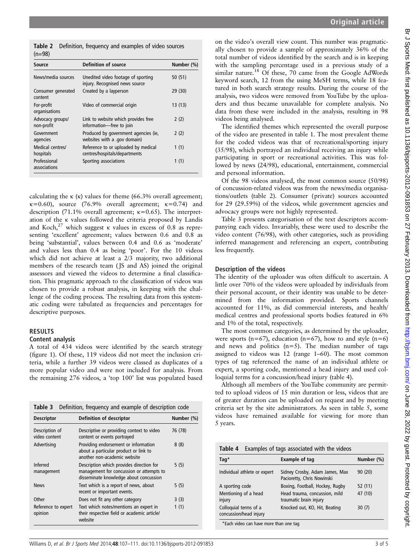Table 2 Definition, frequency and examples of video sources  $(n=98)$ 

| Source                         | Definition of source                                                 | Number (%) |  |
|--------------------------------|----------------------------------------------------------------------|------------|--|
| News/media sources             | Unedited video footage of sporting<br>injury. Recognised news source | 50(51)     |  |
| Consumer generated<br>content  | Created by a layperson                                               | 29 (30)    |  |
| For-profit<br>organisations    | Video of commercial origin                                           | 13(13)     |  |
| Advocacy groups/<br>non-profit | Link to website which provides free<br>information-free to join      | 2(2)       |  |
| Government<br>agencies         | Produced by government agencies (ie,<br>websites with a .gov domain) | 2(2)       |  |
| Medical centres/<br>hospitals  | Reference to or uploaded by medical<br>centres/hospitals/departments | 1(1)       |  |
| Professional<br>associations   | Sporting associations                                                | 1(1)       |  |

calculating the  $\kappa$  ( $\kappa$ ) values for theme (66.3% overall agreement;  $\kappa$ =0.60), source (76.9% overall agreement;  $\kappa$ =0.74) and description (71.1% overall agreement;  $\kappa$ =0.65). The interpretation of the κ values followed the criteria proposed by Landis and Koch,<sup>27</sup> which suggest κ values in excess of 0.8 as representing 'excellent' agreement; values between 0.6 and 0.8 as being 'substantial', values between 0.4 and 0.6 as 'moderate' and values less than 0.4 as being 'poor'. For the 10 videos which did not achieve at least a 2/3 majority, two additional members of the research team (JS and AS) joined the original assessors and viewed the videos to determine a final classification. This pragmatic approach to the classification of videos was chosen to provide a robust analysis, in keeping with the challenge of the coding process. The resulting data from this systematic coding were tabulated as frequencies and percentages for descriptive purposes.

# RESULTS

# Content analysis

A total of 434 videos were identified by the search strategy (figure 1). Of these, 119 videos did not meet the inclusion criteria, while a further 39 videos were classed as duplicates of a more popular video and were not included for analysis. From the remaining 276 videos, a 'top 100' list was populated based

| Table 3                         | Definition, frequency and example of description code                                                                          |            |
|---------------------------------|--------------------------------------------------------------------------------------------------------------------------------|------------|
| <b>Descriptor</b>               | Definition of descriptor                                                                                                       | Number (%) |
| Description of<br>video content | Descriptive or providing context to video<br>content or events portrayed                                                       | 76 (78)    |
| Advertising                     | Providing endorsement or information<br>about a particular product or link to<br>another non-academic website                  | 8(8)       |
| Inferred<br>management          | Description which provides direction for<br>management for concussion or attempts to<br>disseminate knowledge about concussion | 5(5)       |
| <b>News</b>                     | Text which is a report of news, about<br>recent or important events.                                                           | 5(5)       |
| Other                           | Does not fit any other category                                                                                                | 3(3)       |
| Reference to expert<br>opinion  | Text which notes/mentions an expert in<br>their respective field or academic article/<br>website                               | 1(1)       |

on the video's overall view count. This number was pragmatically chosen to provide a sample of approximately 36% of the total number of videos identified by the search and is in keeping with the sampling percentage used in a previous study of a similar nature.<sup>18</sup> Of these, 70 came from the Google AdWords keyword search, 12 from the using MeSH terms, while 18 featured in both search strategy results. During the course of the analysis, two videos were removed from YouTube by the uploaders and thus became unavailable for complete analysis. No data from these were included in the analysis, resulting in 98 videos being analysed.

The identified themes which represented the overall purpose of the video are presented in table 1. The most prevalent theme for the coded videos was that of recreational/sporting injury (35/98), which portrayed an individual receiving an injury while participating in sport or recreational activities. This was followed by news (24/98), educational, entertainment, commercial and personal information.

Of the 98 videos analysed, the most common source (50/98) of concussion-related videos was from the news/media organisations/outlets (table 2). Consumer (private) sources accounted for 29 (29.59%) of the videos, while government agencies and advocacy groups were not highly represented.

Table 3 presents categorisation of the text descriptors accompanying each video. Invariably, these were used to describe the video content (76/98), with other categories, such as providing inferred management and referencing an expert, contributing less frequently.

## Description of the videos

The identity of the uploader was often difficult to ascertain. A little over 70% of the videos were uploaded by individuals from their personal account, or their identity was unable to be determined from the information provided. Sports channels accounted for 11%, as did commercial interests, and health/ medical centres and professional sports bodies featured in 6% and 1% of the total, respectively.

The most common categories, as determined by the uploader, were sports ( $n=67$ ), education ( $n=67$ ), how to and style ( $n=6$ ) and news and politics  $(n=5)$ . The median number of tags assigned to videos was 12 (range 1–60). The most common types of tag referenced the name of an individual athlete or expert, a sporting code, mentioned a head injury and used colloquial terms for a concussion/head injury (table 4).

Although all members of the YouTube community are permitted to upload videos of 15 min duration or less, videos that are of greater duration can be uploaded on request and by meeting criteria set by the site administrators. As seen in table 5, some videos have remained available for viewing for more than 5 years.

| Examples of tags associated with the videos<br>Table 4 |                                                              |            |  |
|--------------------------------------------------------|--------------------------------------------------------------|------------|--|
| $Taq^*$                                                | <b>Example of tag</b>                                        | Number (%) |  |
| Individual athlete or expert                           | Sidney Crosby, Adam James, Max<br>Pacioretty, Chris Nowinski | 90(20)     |  |
| A sporting code                                        | Boxing, Football, Hockey, Rugby                              | 52(11)     |  |
| Mentioning of a head<br>injury                         | Head trauma, concussion, mild<br>traumatic brain injury      | 47 (10)    |  |
| Colloquial terms of a<br>concussion/head injury        | Knocked out, KO, Hit, Beating                                | 30(7)      |  |
| *Each video can have more than one tag                 |                                                              |            |  |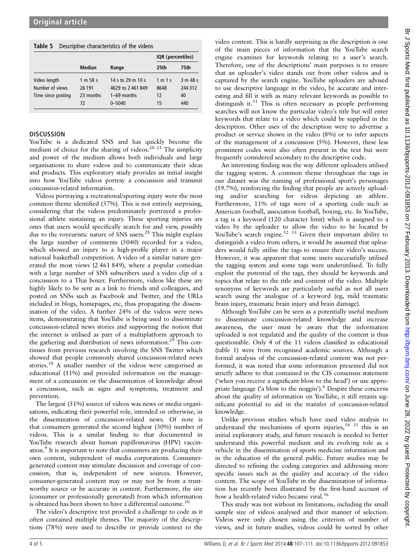|  | Table 5 Descriptive characteristics of the videos |
|--|---------------------------------------------------|
|--|---------------------------------------------------|

|                    |               |                   | IQR (percentiles) |          |
|--------------------|---------------|-------------------|-------------------|----------|
|                    | <b>Median</b> | Range             | 25th              | 75th     |
| Video length       | 1 m 58 s      | 14 s to 29 m 10 s | 1 m 1 s           | 3 m 48 s |
| Number of views    | 26 191        | 4629 to 2461849   | 8648              | 244 312  |
| Time since posting | 23 months     | $1-69$ months     | 12                | 40       |
|                    | 72            | $0 - 5040$        | 15                | 440      |

## **DISCUSSION**

YouTube is a dedicated SNS and has quickly become the medium of choice for the sharing of videos.<sup>20 21</sup> The simplicity and power of the medium allows both individuals and large organisations to share videos and to communicate their ideas and products. This exploratory study provides an initial insight into how YouTube videos portray a concussion and transmit concussion-related information.

Videos portraying a recreational/sporting injury were the most common theme identified (37%). This is not entirely surprising, considering that the videos predominately portrayed a professional athlete sustaining an injury. These sporting injuries are ones that users would specifically search for and view, possibly due to the voyeuristic nature of SNS users.<sup>28</sup> This might explain the large number of comments (5040) recorded for a video, which showed an injury to a high-profile player in a major national basketball competition. A video of a similar nature generated the most views (2 461 849), where a popular comedian with a large number of SNS subscribers used a video clip of a concussion to a Thai boxer. Furthermore, videos like these are highly likely to be sent as a link to friends and colleagues, and posted on SNSs such as Facebook and Twitter, and the URLs included in blogs, homepages, etc, thus propagating the dissemination of the video. A further 24% of the videos were news items, demonstrating that YouTube is being used to disseminate concussion-related news stories and supporting the notion that the internet is utilised as part of a multiplatform approach to the gathering and distribution of news information.<sup>29</sup> This continues from previous research involving the SNS Twitter which showed that people commonly shared concussion-related news stories.<sup>18</sup> A smaller number of the videos were categorised as educational (11%) and provided information on the management of a concussion or the dissemination of knowledge about a concussion, such as signs and symptoms, treatment and prevention.

The largest (51%) source of videos was news or media organisations, indicating their powerful role, intended or otherwise, in the dissemination of concussion-related news. Of note is that consumers generated the second highest (30%) number of videos. This is a similar finding to that documented in YouTube research about human papillomavirus (HPV) vaccination.9 It is important to note that consumers are producing their own content, independent of media corporations. Consumergenerated content may stimulate discussion and coverage of concussion, that is, independent of new sources. However, consumer-generated content may or may not be from a trustworthy source or be accurate in content. Furthermore, the site (consumer or professionally generated) from which information is obtained has been shown to have a differential outcome.<sup>30</sup>

The video's descriptive text provided a challenge to code as it often contained multiple themes. The majority of the descriptions (78%) were used to describe or provide context to the

video content. This is hardly surprising as the description is one of the main pieces of information that the YouTube search engine examines for keywords relating to a user's search. Therefore, one of the descriptions' main purposes is to ensure that an uploader's video stands out from other videos and is captured by the search engine. YouTube uploaders are advised to use descriptive language in the video, be accurate and interesting and fill it with as many relevant keywords as possible to distinguish it.<sup>31</sup> This is often necessary as people performing searches will not know the particular video's title but will enter keywords that relate to a video which could be supplied in the description. Other uses of the description were to advertise a product or service shown in the video (8%) or to infer aspects of the management of a concussion (5%). However, these less prominent codes were also often present in the text but were frequently considered secondary to the descriptive code.

An interesting finding was the way different uploaders utilised the tagging system. A common theme throughout the tags in our dataset was the naming of professional sport's personages (19.7%), reinforcing the finding that people are actively uploading and/or searching for videos depicting an athlete. Furthermore, 11% of tags were of a sporting code such as American football, association football, boxing, etc. In YouTube, a tag is a keyword (120 character limit) which is assigned to a video by the uploader to allow the video to be located by YouTube's search engine.<sup>32</sup> <sup>33</sup> Given their important ability to distinguish a video from others, it would be assumed that uploaders would fully utilise the tags to ensure their video's success. However, it was apparent that some users successfully utilised the tagging system and some tags were underutilised. To fully exploit the potential of the tags, they should be keywords and topics that relate to the title and content of the video. Multiple synonyms of keywords are particularly useful as not all users search using the analogue of a keyword (eg, mild traumatic brain injury, traumatic brain injury and brain damage).

Although YouTube can be seen as a potentially useful medium to disseminate concussion-related knowledge and increase awareness, the user must be aware that the information uploaded is not regulated and the quality of the content is thus questionable. Only 4 of the 11 videos classified as educational (table 1) were from recognised academic sources. Although a formal analysis of the concussion-related content was not performed, it was noted that some information presented did not strictly adhere to that contained in the CIS consensus statement ('when you receive a significant blow to the head') or use appropriate language ('a blow to the noggin').<sup>6</sup> Despite these concerns about the quality of information on YouTube, it still retains significant potential to aid in the transfer of concussion-related knowledge.

Unlike previous studies which have used video analysis to understand the mechanisms of sports injuries,  $34 \times 35$  this is an initial exploratory study, and future research is needed to better understand this powerful medium and its evolving role as a vehicle in the dissemination of sports medicine information and in the education of the general public. Future studies may be directed to refining the coding categories and addressing more specific issues such as the quality and accuracy of the video content. The scope of YouTube in the dissemination of information has recently been illustrated by the first-hand account of how a health-related video became viral.<sup>36</sup>

This study was not without its limitations, including the small sample size of videos analysed and their manner of selection. Videos were only chosen using the criterion of number of views, and in future studies, videos could be sorted by other